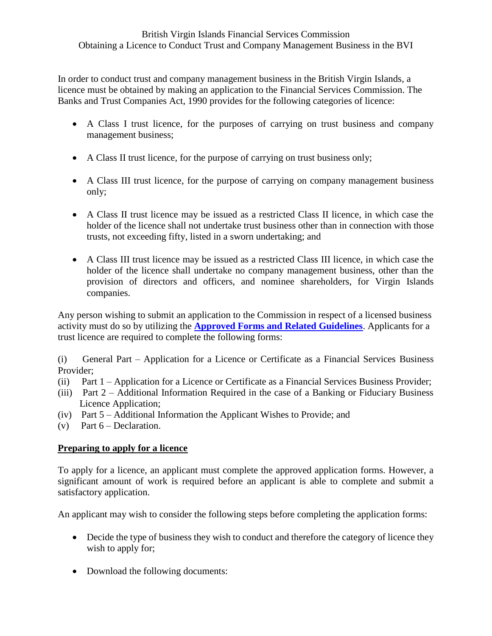In order to conduct trust and company management business in the British Virgin Islands, a licence must be obtained by making an application to the Financial Services Commission. The Banks and Trust Companies Act, 1990 provides for the following categories of licence:

- A Class I trust licence, for the purposes of carrying on trust business and company management business;
- A Class II trust licence, for the purpose of carrying on trust business only;
- A Class III trust licence, for the purpose of carrying on company management business only;
- A Class II trust licence may be issued as a restricted Class II licence, in which case the holder of the licence shall not undertake trust business other than in connection with those trusts, not exceeding fifty, listed in a sworn undertaking; and
- A Class III trust licence may be issued as a restricted Class III licence, in which case the holder of the licence shall undertake no company management business, other than the provision of directors and officers, and nominee shareholders, for Virgin Islands companies.

Any person wishing to submit an application to the Commission in respect of a licensed business activity must do so by utilizing the **[Approved Forms and Related Guidelines](http://www.bvifsc.vg/Portals/2/1_FSC%20Approved%20Forms%20Guidelines%20-%20(Consolidated%20May%202010)%20u.pdf)**. Applicants for a trust licence are required to complete the following forms:

(i) General Part – Application for a Licence or Certificate as a Financial Services Business Provider;

- (ii) Part 1 Application for a Licence or Certificate as a Financial Services Business Provider;
- (iii) Part 2 Additional Information Required in the case of a Banking or Fiduciary Business Licence Application;
- (iv) Part 5 Additional Information the Applicant Wishes to Provide; and
- (v) Part  $6 \text{Declaration}$ .

# **Preparing to apply for a licence**

To apply for a licence, an applicant must complete the approved application forms. However, a significant amount of work is required before an applicant is able to complete and submit a satisfactory application.

An applicant may wish to consider the following steps before completing the application forms:

- Decide the type of business they wish to conduct and therefore the category of licence they wish to apply for;
- Download the following documents: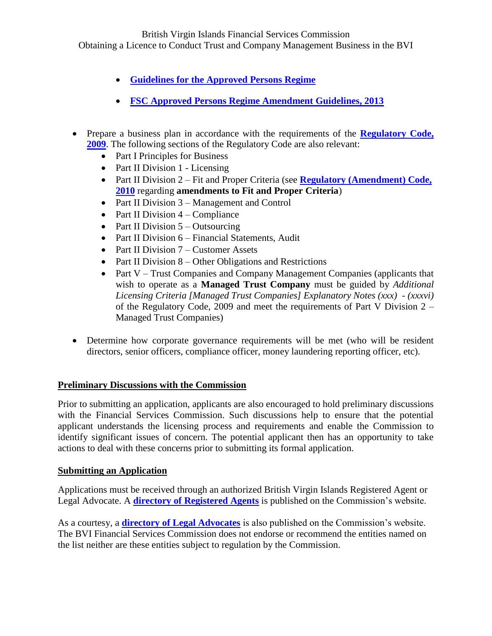British Virgin Islands Financial Services Commission

Obtaining a Licence to Conduct Trust and Company Management Business in the BVI

- **[Guidelines for the Approved Persons Regime](http://www.bvifsc.vg/Portals/2/FSC%20Approved%20Persons%20Regime%202009%20_2010%20Revision_%20_Final%20BW_%20_3_.pdf)**
- **[FSC Approved Persons Regime Amendment Guidelines, 2013](http://www.bvifsc.vg/Portals/2/FSC%20Approved%20Persons%20Regime%20Amendment%20Guidelines,%202013.pdf)**
- Prepare a business plan in accordance with the requirements of the **Regulatory Code**, **[2009](http://www.bvifsc.vg/Portals/2/Regulatory%20Code%202009.pdf)**. The following sections of the Regulatory Code are also relevant:
	- Part I Principles for Business
	- Part II Division 1 Licensing
	- Part II Division 2 Fit and Proper Criteria (see **[Regulatory \(Amendment\) Code,](http://www.bvifsc.vg/Portals/2/Regulatory%20(Amendment)%20Code,%202010.pdf)  [2010](http://www.bvifsc.vg/Portals/2/Regulatory%20(Amendment)%20Code,%202010.pdf)** regarding **amendments to Fit and Proper Criteria**)
	- Part II Division 3 Management and Control
	- Part II Division  $4 -$ Compliance
	- Part II Division  $5 -$ Outsourcing
	- Part II Division 6 Financial Statements, Audit
	- Part II Division  $7$  Customer Assets
	- Part II Division  $8 -$ Other Obligations and Restrictions
	- Part V Trust Companies and Company Management Companies (applicants that wish to operate as a **Managed Trust Company** must be guided by *Additional Licensing Criteria [Managed Trust Companies] Explanatory Notes (xxx) - (xxxvi)* of the Regulatory Code, 2009 and meet the requirements of Part V Division 2 – Managed Trust Companies)
- Determine how corporate governance requirements will be met (who will be resident directors, senior officers, compliance officer, money laundering reporting officer, etc).

# **Preliminary Discussions with the Commission**

Prior to submitting an application, applicants are also encouraged to hold preliminary discussions with the Financial Services Commission. Such discussions help to ensure that the potential applicant understands the licensing process and requirements and enable the Commission to identify significant issues of concern. The potential applicant then has an opportunity to take actions to deal with these concerns prior to submitting its formal application.

# **Submitting an Application**

Applications must be received through an authorized British Virgin Islands Registered Agent or Legal Advocate. A **[directory of Registered Agents](http://www.bvifsc.vg/en-us/regulatedentities/registeredagents.aspx)** is published on the Commission's website.

As a courtesy, a **[directory of Legal Advocates](http://www.bvifsc.vg/RegulatedEntities/tabid/245/catTabId/131/language/en-GB/Default.aspx)** is also published on the Commission's website. The BVI Financial Services Commission does not endorse or recommend the entities named on the list neither are these entities subject to regulation by the Commission.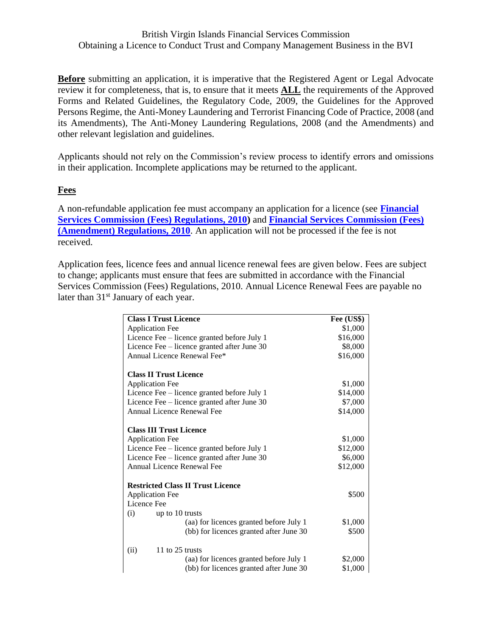#### British Virgin Islands Financial Services Commission Obtaining a Licence to Conduct Trust and Company Management Business in the BVI

**Before** submitting an application, it is imperative that the Registered Agent or Legal Advocate review it for completeness, that is, to ensure that it meets **ALL** the requirements of the Approved Forms and Related Guidelines, the Regulatory Code, 2009, the Guidelines for the Approved Persons Regime, the Anti-Money Laundering and Terrorist Financing Code of Practice, 2008 (and its Amendments), The Anti-Money Laundering Regulations, 2008 (and the Amendments) and other relevant legislation and guidelines.

Applicants should not rely on the Commission's review process to identify errors and omissions in their application. Incomplete applications may be returned to the applicant.

### **Fees**

A non-refundable application fee must accompany an application for a licence (see **[Financial](http://www.bvifsc.vg/Home/LegislationResources/tabid/358/articleType/ArticleView/articleId/669/categoryId/65/language/en-GB/Financial-Services-Commission-Fees-Regulations-2010.aspx)  [Services Commission \(Fees\) Regulations, 2010\)](http://www.bvifsc.vg/Home/LegislationResources/tabid/358/articleType/ArticleView/articleId/669/categoryId/65/language/en-GB/Financial-Services-Commission-Fees-Regulations-2010.aspx)** and **[Financial Services Commission \(Fees\)](http://www.bvifsc.vg/Portals/2/Financial%20Services%20Commission%20(Fees)%20(Amendment)%20Regulations,%202010.pdf)  [\(Amendment\) Regulations, 2010](http://www.bvifsc.vg/Portals/2/Financial%20Services%20Commission%20(Fees)%20(Amendment)%20Regulations,%202010.pdf)**. An application will not be processed if the fee is not received.

Application fees, licence fees and annual licence renewal fees are given below. Fees are subject to change; applicants must ensure that fees are submitted in accordance with the Financial Services Commission (Fees) Regulations, 2010. Annual Licence Renewal Fees are payable no later than 31<sup>st</sup> January of each year.

| <b>Class I Trust Licence</b>                | Fee (US\$) |
|---------------------------------------------|------------|
| <b>Application Fee</b>                      | \$1,000    |
| Licence Fee – licence granted before July 1 | \$16,000   |
| Licence Fee – licence granted after June 30 | \$8,000    |
| Annual Licence Renewal Fee*                 | \$16,000   |
| <b>Class II Trust Licence</b>               |            |
| <b>Application Fee</b>                      | \$1,000    |
| Licence Fee – licence granted before July 1 | \$14,000   |
| Licence Fee - licence granted after June 30 | \$7,000    |
| Annual Licence Renewal Fee                  | \$14,000   |
| <b>Class III Trust Licence</b>              |            |
| <b>Application Fee</b>                      | \$1,000    |
| Licence Fee – licence granted before July 1 | \$12,000   |
| Licence Fee – licence granted after June 30 | \$6,000    |
| Annual Licence Renewal Fee                  | \$12,000   |
| <b>Restricted Class II Trust Licence</b>    |            |
| <b>Application Fee</b>                      | \$500      |
| Licence Fee                                 |            |
| up to 10 trusts<br>(i)                      |            |
| (aa) for licences granted before July 1     | \$1,000    |
| (bb) for licences granted after June 30     | \$500      |
| 11 to 25 trusts<br>(ii)                     |            |
| (aa) for licences granted before July 1     | \$2,000    |
| (bb) for licences granted after June 30     | \$1,000    |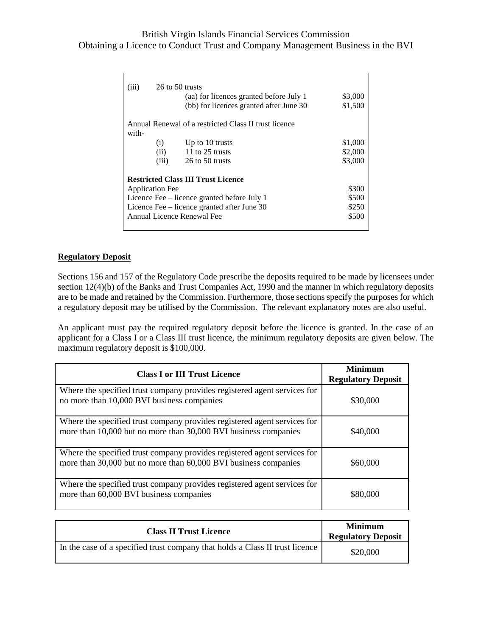# British Virgin Islands Financial Services Commission Obtaining a Licence to Conduct Trust and Company Management Business in the BVI

| (iii)                                       | 26 to 50 trusts<br>(aa) for licences granted before July 1<br>(bb) for licences granted after June 30 | \$3,000<br>\$1,500 |
|---------------------------------------------|-------------------------------------------------------------------------------------------------------|--------------------|
|                                             | Annual Renewal of a restricted Class II trust licence                                                 |                    |
| with-                                       |                                                                                                       |                    |
| (i)                                         | Up to $10$ trusts                                                                                     | \$1,000            |
| (ii)                                        | 11 to 25 trusts                                                                                       | \$2,000            |
| (iii)                                       | 26 to 50 trusts                                                                                       | \$3,000            |
|                                             | <b>Restricted Class III Trust Licence</b>                                                             |                    |
| <b>Application Fee</b>                      |                                                                                                       | \$300              |
| Licence Fee – licence granted before July 1 |                                                                                                       | \$500              |
| Licence Fee – licence granted after June 30 |                                                                                                       | \$250              |
| Annual Licence Renewal Fee                  |                                                                                                       | \$500              |
|                                             |                                                                                                       |                    |
|                                             |                                                                                                       |                    |

#### **Regulatory Deposit**

Sections 156 and 157 of the Regulatory Code prescribe the deposits required to be made by licensees under section 12(4)(b) of the Banks and Trust Companies Act, 1990 and the manner in which regulatory deposits are to be made and retained by the Commission. Furthermore, those sections specify the purposes for which a regulatory deposit may be utilised by the Commission. The relevant explanatory notes are also useful.

An applicant must pay the required regulatory deposit before the licence is granted. In the case of an applicant for a Class I or a Class III trust licence, the minimum regulatory deposits are given below. The maximum regulatory deposit is \$100,000.

| <b>Class I or III Trust Licence</b>                                                                                                         | <b>Minimum</b><br><b>Regulatory Deposit</b> |
|---------------------------------------------------------------------------------------------------------------------------------------------|---------------------------------------------|
| Where the specified trust company provides registered agent services for<br>no more than 10,000 BVI business companies                      | \$30,000                                    |
| Where the specified trust company provides registered agent services for<br>more than 10,000 but no more than 30,000 BVI business companies | \$40,000                                    |
| Where the specified trust company provides registered agent services for<br>more than 30,000 but no more than 60,000 BVI business companies | \$60,000                                    |
| Where the specified trust company provides registered agent services for<br>more than 60,000 BVI business companies                         | \$80,000                                    |

| <b>Class II Trust Licence</b>                                                | <b>Minimum</b><br><b>Regulatory Deposit</b> |
|------------------------------------------------------------------------------|---------------------------------------------|
| In the case of a specified trust company that holds a Class II trust licence | \$20,000                                    |